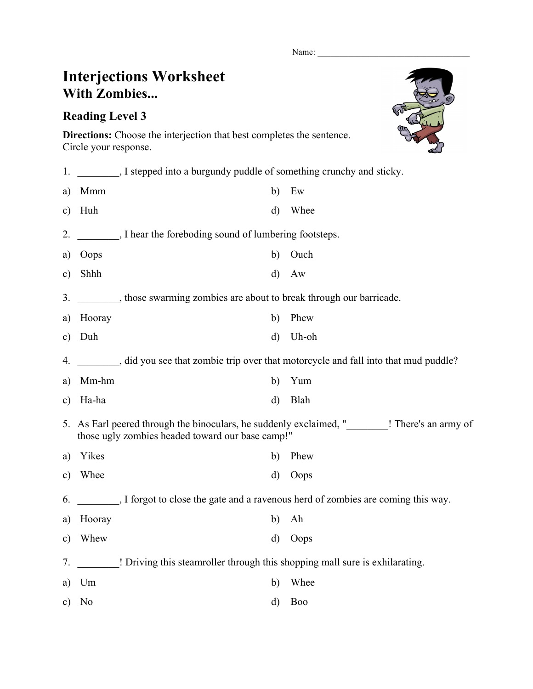Name:

## **Interjections Worksheet With Zombies...**

## **Reading Level 3**

**Directions:** Choose the interjection that best completes the sentence. Circle your response.

| 1.            | , I stepped into a burgundy puddle of something crunchy and sticky.                                                                         |          |                |  |  |
|---------------|---------------------------------------------------------------------------------------------------------------------------------------------|----------|----------------|--|--|
| a)            | Mmm                                                                                                                                         | b)       | Ew             |  |  |
| $\mathbf{c})$ | Huh                                                                                                                                         | $\rm d$  | Whee           |  |  |
| 2.            | I hear the foreboding sound of lumbering footsteps.                                                                                         |          |                |  |  |
| a)            | Oops                                                                                                                                        | b)       | Ouch           |  |  |
| c)            | Shhh                                                                                                                                        | $\rm d)$ | Aw             |  |  |
| 3.            | , those swarming zombies are about to break through our barricade.                                                                          |          |                |  |  |
| a)            | Hooray                                                                                                                                      | b)       | Phew           |  |  |
| $\mathbf{c})$ | Duh                                                                                                                                         | $\rm d$  | Uh-oh          |  |  |
| 4.            | did you see that zombie trip over that motorcycle and fall into that mud puddle?                                                            |          |                |  |  |
| a)            | Mm-hm                                                                                                                                       | b)       | Yum            |  |  |
| $\mathbf{c})$ | Ha-ha                                                                                                                                       | $\rm d)$ | Blah           |  |  |
|               | 5. As Earl peered through the binoculars, he suddenly exclaimed, " ! There's an army of<br>those ugly zombies headed toward our base camp!" |          |                |  |  |
| a)            | Yikes                                                                                                                                       | b)       | Phew           |  |  |
| c)            | Whee                                                                                                                                        | d)       | Oops           |  |  |
| 6.            | I forgot to close the gate and a ravenous herd of zombies are coming this way.                                                              |          |                |  |  |
| a)            | Hooray                                                                                                                                      | b)       | Ah             |  |  |
| $\mathbf{c})$ | Whew                                                                                                                                        | $\rm d$  | Oops           |  |  |
| 7.            | ! Driving this steamroller through this shopping mall sure is exhilarating.                                                                 |          |                |  |  |
| a)            | Um                                                                                                                                          | b)       | Whee           |  |  |
| c)            | N <sub>0</sub>                                                                                                                              | d)       | B <sub>o</sub> |  |  |
|               |                                                                                                                                             |          |                |  |  |

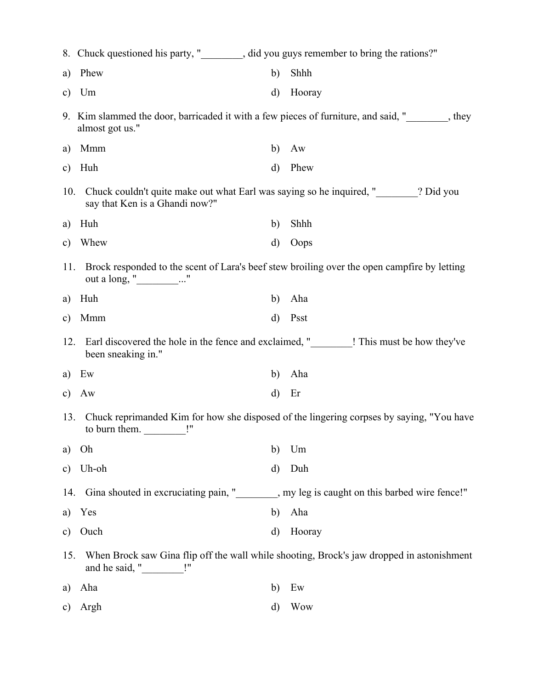|               | 8. Chuck questioned his party, " subsetion 2" did you guys remember to bring the rations?"                                            |              |                                                                                          |  |
|---------------|---------------------------------------------------------------------------------------------------------------------------------------|--------------|------------------------------------------------------------------------------------------|--|
| a)            | Phew                                                                                                                                  | b)           | Shhh                                                                                     |  |
| $\mathbf{c})$ | Um                                                                                                                                    | $\mathbf{d}$ | Hooray                                                                                   |  |
|               | 9. Kim slammed the door, barricaded it with a few pieces of furniture, and said, "_______, they<br>almost got us."                    |              |                                                                                          |  |
| a)            | Mmm                                                                                                                                   | b)           | Aw                                                                                       |  |
| $\mathbf{c})$ | Huh                                                                                                                                   | $\mathbf{d}$ | Phew                                                                                     |  |
| 10.           | Chuck couldn't quite make out what Earl was saying so he inquired, " subseteddary 2 Did you<br>say that Ken is a Ghandi now?"         |              |                                                                                          |  |
| a)            | Huh                                                                                                                                   | b)           | Shhh                                                                                     |  |
| $\mathbf{c})$ | Whew                                                                                                                                  | d)           | Oops                                                                                     |  |
| 11.           | Brock responded to the scent of Lara's beef stew broiling over the open campfire by letting<br>out a long, " $\qquad \qquad \ldots$ " |              |                                                                                          |  |
| a)            | Huh                                                                                                                                   | b)           | Aha                                                                                      |  |
| $\mathbf{c})$ | Mmm                                                                                                                                   | $\rm d)$     | Psst                                                                                     |  |
| 12.           | been sneaking in."                                                                                                                    |              | Earl discovered the hole in the fence and exclaimed, "________! This must be how they've |  |
| a)            | Ew                                                                                                                                    | b)           | Aha                                                                                      |  |
| $\mathbf{c})$ | Aw                                                                                                                                    | $\rm d)$     | Er                                                                                       |  |
| 13.           | Chuck reprimanded Kim for how she disposed of the lingering corpses by saying, "You have<br>to burn them. $\frac{1}{\sqrt{2}}$ .      |              |                                                                                          |  |
| a)            | Oh                                                                                                                                    | b)           | Um                                                                                       |  |
| $\mathbf{c})$ | Uh-oh                                                                                                                                 | d)           | Duh                                                                                      |  |
| 14.           |                                                                                                                                       |              | Gina shouted in excruciating pain, " summary leg is caught on this barbed wire fence!"   |  |
| a)            | Yes                                                                                                                                   | b)           | Aha                                                                                      |  |
| $\mathbf{c})$ | Ouch                                                                                                                                  | $\rm d)$     | Hooray                                                                                   |  |
| 15.           | When Brock saw Gina flip off the wall while shooting, Brock's jaw dropped in astonishment<br>and he said, "_____________!"            |              |                                                                                          |  |
| a)            | Aha                                                                                                                                   | b)           | Ew                                                                                       |  |
| C)            | Argh                                                                                                                                  | d)           | <b>Wow</b>                                                                               |  |
|               |                                                                                                                                       |              |                                                                                          |  |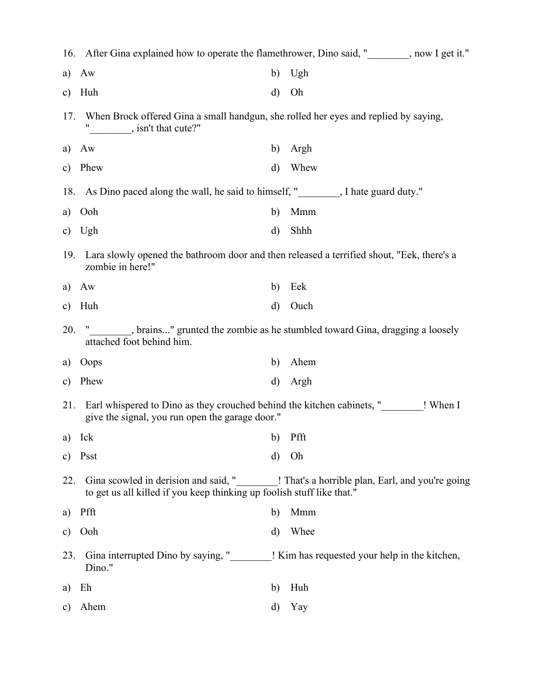|               | 16. After Gina explained how to operate the flamethrower, Dino said, " subsetimed the flamethrower, Dino said, " subsetimed in the flamethrower, Dino said, " subsetimed in the flamethrower, Dino said, " subsetimed in the f |              |                                                                                          |  |  |
|---------------|--------------------------------------------------------------------------------------------------------------------------------------------------------------------------------------------------------------------------------|--------------|------------------------------------------------------------------------------------------|--|--|
| a)            | Aw                                                                                                                                                                                                                             | b)           | Ugh                                                                                      |  |  |
| $\mathbf{c})$ | Huh                                                                                                                                                                                                                            | $\mathbf{d}$ | Oh                                                                                       |  |  |
| 17.           | When Brock offered Gina a small handgun, she rolled her eyes and replied by saying,<br>$\frac{1}{2}$ , isn't that cute?"                                                                                                       |              |                                                                                          |  |  |
| a)            | Aw                                                                                                                                                                                                                             | b)           | Argh                                                                                     |  |  |
| $\mathbf{c})$ | Phew                                                                                                                                                                                                                           | $\mathbf{d}$ | Whew                                                                                     |  |  |
|               | 18. As Dino paced along the wall, he said to himself, " Sall 2015 and the guard duty."                                                                                                                                         |              |                                                                                          |  |  |
| a)            | Ooh                                                                                                                                                                                                                            | b)           | Mmm                                                                                      |  |  |
| $\mathbf{c})$ | Ugh                                                                                                                                                                                                                            | $\mathbf{d}$ | Shhh                                                                                     |  |  |
| 19.           | Lara slowly opened the bathroom door and then released a terrified shout, "Eek, there's a<br>zombie in here!"                                                                                                                  |              |                                                                                          |  |  |
| a)            | Aw                                                                                                                                                                                                                             | $\mathbf{b}$ | Eek                                                                                      |  |  |
| $\mathbf{c})$ | Huh                                                                                                                                                                                                                            | $\rm d)$     | Ouch                                                                                     |  |  |
| 20.           | _______, brains" grunted the zombie as he stumbled toward Gina, dragging a loosely<br>attached foot behind him.                                                                                                                |              |                                                                                          |  |  |
| a)            | Oops                                                                                                                                                                                                                           | b)           | Ahem                                                                                     |  |  |
| $\mathbf{c})$ | Phew                                                                                                                                                                                                                           | $\mathbf{d}$ | Argh                                                                                     |  |  |
| 21.           | Earl whispered to Dino as they crouched behind the kitchen cabinets, " ! When I<br>give the signal, you run open the garage door."                                                                                             |              |                                                                                          |  |  |
|               | a) Ick<br>b) Pfft                                                                                                                                                                                                              |              |                                                                                          |  |  |
| $\mathbf{c})$ | Psst                                                                                                                                                                                                                           | $\mathbf{d}$ | Oh                                                                                       |  |  |
| 22.           | to get us all killed if you keep thinking up foolish stuff like that."                                                                                                                                                         |              | Gina scowled in derision and said, "<br>! That's a horrible plan, Earl, and you're going |  |  |
| a)            | Pfft                                                                                                                                                                                                                           | b)           | Mmm                                                                                      |  |  |
| $\mathbf{c})$ | Ooh                                                                                                                                                                                                                            | d)           | Whee                                                                                     |  |  |
| 23.           | Gina interrupted Dino by saying, "<br>Dino."                                                                                                                                                                                   |              | ! Kim has requested your help in the kitchen,                                            |  |  |
| a)            | Eh                                                                                                                                                                                                                             | b)           | Huh                                                                                      |  |  |
| $\mathbf{c})$ | Ahem                                                                                                                                                                                                                           | d)           | Yay                                                                                      |  |  |